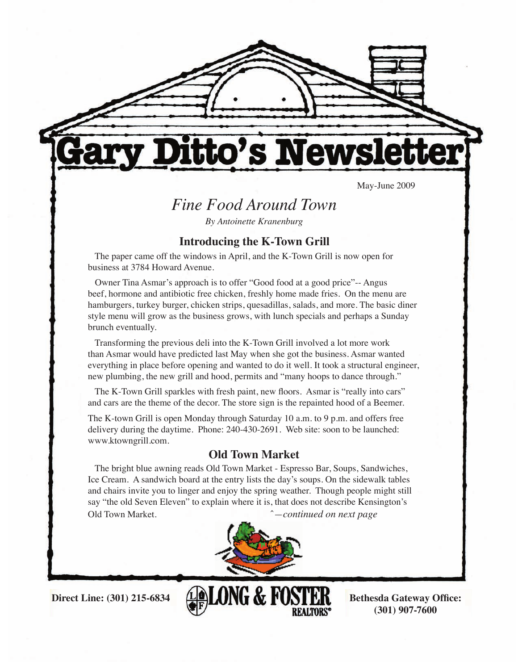

tto's Newsl

May-June 2009

## *Fine Food Around Town*

*By Antoinette Kranenburg*

#### **Introducing the K-Town Grill**

 The paper came off the windows in April, and the K-Town Grill is now open for business at 3784 Howard Avenue.

 Owner Tina Asmar's approach is to offer "Good food at a good price"-- Angus beef, hormone and antibiotic free chicken, freshly home made fries. On the menu are hamburgers, turkey burger, chicken strips, quesadillas, salads, and more. The basic diner style menu will grow as the business grows, with lunch specials and perhaps a Sunday brunch eventually.

 Transforming the previous deli into the K-Town Grill involved a lot more work than Asmar would have predicted last May when she got the business. Asmar wanted everything in place before opening and wanted to do it well. It took a structural engineer, new plumbing, the new grill and hood, permits and "many hoops to dance through."

 The K-Town Grill sparkles with fresh paint, new floors. Asmar is "really into cars" and cars are the theme of the decor. The store sign is the repainted hood of a Beemer.

The K-town Grill is open Monday through Saturday 10 a.m. to 9 p.m. and offers free delivery during the daytime. Phone: 240-430-2691. Web site: soon to be launched: www.ktowngrill.com.

#### **Old Town Market**

 The bright blue awning reads Old Town Market - Espresso Bar, Soups, Sandwiches, Ice Cream. A sandwich board at the entry lists the day's soups. On the sidewalk tables and chairs invite you to linger and enjoy the spring weather. Though people might still say "the old Seven Eleven" to explain where it is, that does not describe Kensington's Old Town Market. ˆ*—continued on next page*



Direct Line: (301) 215-6834 **<b>BLONG** & FOSTER Bethesda Gateway Office: **(301) 907-7600**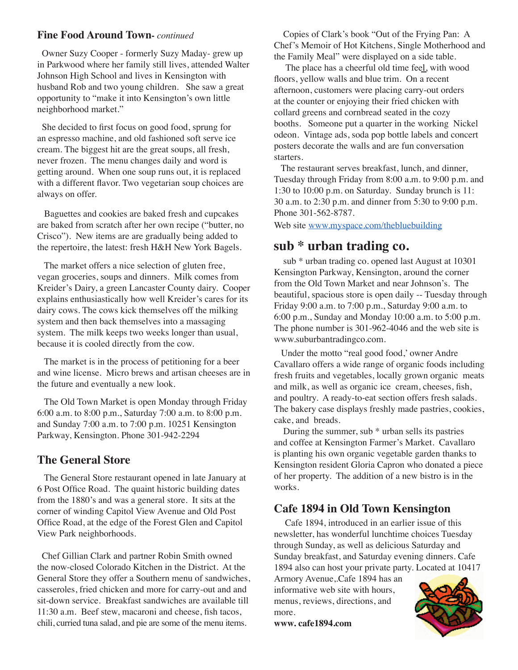#### **Fine Food Around Town-** *continued*

 Owner Suzy Cooper - formerly Suzy Maday- grew up in Parkwood where her family still lives, attended Walter Johnson High School and lives in Kensington with husband Rob and two young children. She saw a great opportunity to "make it into Kensington's own little neighborhood market."

 She decided to first focus on good food, sprung for an espresso machine, and old fashioned soft serve ice cream. The biggest hit are the great soups, all fresh, never frozen. The menu changes daily and word is getting around. When one soup runs out, it is replaced with a different flavor. Two vegetarian soup choices are always on offer.

 Baguettes and cookies are baked fresh and cupcakes are baked from scratch after her own recipe ("butter, no Crisco"). New items are are gradually being added to the repertoire, the latest: fresh H&H New York Bagels.

 The market offers a nice selection of gluten free, vegan groceries, soups and dinners. Milk comes from Kreider's Dairy, a green Lancaster County dairy. Cooper explains enthusiastically how well Kreider's cares for its dairy cows. The cows kick themselves off the milking system and then back themselves into a massaging system. The milk keeps two weeks longer than usual, because it is cooled directly from the cow.

 The market is in the process of petitioning for a beer and wine license. Micro brews and artisan cheeses are in the future and eventually a new look.

 The Old Town Market is open Monday through Friday 6:00 a.m. to 8:00 p.m., Saturday 7:00 a.m. to 8:00 p.m. and Sunday 7:00 a.m. to 7:00 p.m. 10251 Kensington Parkway, Kensington. Phone 301-942-2294

### **The General Store**

 The General Store restaurant opened in late January at 6 Post Office Road. The quaint historic building dates from the 1880's and was a general store. It sits at the corner of winding Capitol View Avenue and Old Post Office Road, at the edge of the Forest Glen and Capitol View Park neighborhoods.

 Chef Gillian Clark and partner Robin Smith owned the now-closed Colorado Kitchen in the District. At the General Store they offer a Southern menu of sandwiches, casseroles, fried chicken and more for carry-out and and sit-down service. Breakfast sandwiches are available till 11:30 a.m. Beef stew, macaroni and cheese, fish tacos, chili, curried tuna salad, and pie are some of the menu items.

 Copies of Clark's book "Out of the Frying Pan: A Chef's Memoir of Hot Kitchens, Single Motherhood and the Family Meal" were displayed on a side table.

 The place has a cheerful old time feel, with wood floors, yellow walls and blue trim. On a recent afternoon, customers were placing carry-out orders at the counter or enjoying their fried chicken with collard greens and cornbread seated in the cozy booths. Someone put a quarter in the working Nickel odeon. Vintage ads, soda pop bottle labels and concert posters decorate the walls and are fun conversation starters.

 The restaurant serves breakfast, lunch, and dinner, Tuesday through Friday from 8:00 a.m. to 9:00 p.m. and 1:30 to 10:00 p.m. on Saturday. Sunday brunch is 11: 30 a.m. to 2:30 p.m. and dinner from 5:30 to 9:00 p.m. Phone 301-562-8787.

Web site www.myspace.com/thebluebuilding

### **sub \* urban trading co.**

 sub \* urban trading co. opened last August at 10301 Kensington Parkway, Kensington, around the corner from the Old Town Market and near Johnson's. The beautiful, spacious store is open daily -- Tuesday through Friday 9:00 a.m. to 7:00 p.m., Saturday 9:00 a.m. to 6:00 p.m., Sunday and Monday 10:00 a.m. to 5:00 p.m. The phone number is 301-962-4046 and the web site is www.suburbantradingco.com.

 Under the motto "real good food,' owner Andre Cavallaro offers a wide range of organic foods including fresh fruits and vegetables, locally grown organic meats and milk, as well as organic ice cream, cheeses, fish, and poultry. A ready-to-eat section offers fresh salads. The bakery case displays freshly made pastries, cookies, cake, and breads.

 During the summer, sub \* urban sells its pastries and coffee at Kensington Farmer's Market. Cavallaro is planting his own organic vegetable garden thanks to Kensington resident Gloria Capron who donated a piece of her property. The addition of a new bistro is in the works.

### **Cafe 1894 in Old Town Kensington**

Cafe 1894, introduced in an earlier issue of this newsletter, has wonderful lunchtime choices Tuesday through Sunday, as well as delicious Saturday and Sunday breakfast, and Saturday evening dinners. Cafe 1894 also can host your private party. Located at 10417

Armory Avenue,.Cafe 1894 has an informative web site with hours, menus, reviews, directions, and more.

**www. cafe1894.com**

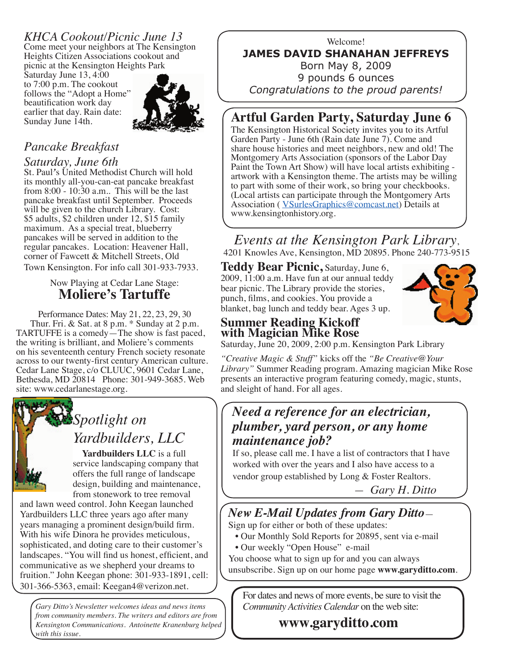## *KHCA Cookout/Picnic June 13*

Come meet your neighbors at The Kensington Heights Citizen Associations cookout and picnic at the Kensington Heights Park

Saturday June 13, 4:00 to 7:00 p.m. The cookout follows the "Adopt a Home" beautification work day earlier that day. Rain date: Sunday June 14th.



## *Pancake Breakfast*

#### *Saturday, June 6th*

St. Paul*'*s United Methodist Church will hold its monthly all-you-can-eat pancake breakfast from  $8:00 - 10:30$  a.m.. This will be the last pancake breakfast until September. Proceeds will be given to the church Library. Cost: \$5 adults, \$2 children under 12, \$15 family maximum. As a special treat, blueberry pancakes will be served in addition to the regular pancakes. Location: Heavener Hall, corner of Fawcett & Mitchell Streets, Old Town Kensington. For info call 301-933-7933.

#### Now Playing at Cedar Lane Stage: **Moliere's Tartuffe**

Performance Dates: May 21, 22, 23, 29, 30 Thur. Fri. & Sat. at 8 p.m. \* Sunday at 2 p.m. TARTUFFE is a comedy—The show is fast paced, the writing is brilliant, and Moliere's comments on his seventeenth century French society resonate across to our twenty-first century American culture. Cedar Lane Stage, c/o CLUUC, 9601 Cedar Lane, Bethesda, MD 20814 Phone: 301-949-3685. Web site: www.cedarlanestage.org.



# *Spotlight on Yardbuilders, LLC*

 **Yardbuilders LLC** is a full service landscaping company that offers the full range of landscape design, building and maintenance, from stonework to tree removal

and lawn weed control. John Keegan launched Yardbuilders LLC three years ago after many years managing a prominent design/build firm. With his wife Dinora he provides meticulous, sophisticated, and doting care to their customer's landscapes. "You will find us honest, efficient, and communicative as we shepherd your dreams to fruition." John Keegan phone: 301-933-1891, cell: 301-366-5363, email: Keegan4@verizon.net.

*Gary Ditto's Newsletter welcomes ideas and news items from community members. The writers and editors are from Kensington Communications. Antoinette Kranenburg helped with this issue.* 

#### Welcome! **JAMES DAVID SHANAHAN JEFFREYS** Born May 8, 2009 9 pounds 6 ounces *Congratulations to the proud parents!*

## **Artful Garden Party, Saturday June 6**

The Kensington Historical Society invites you to its Artful Garden Party - June 6th (Rain date June 7). Come and share house histories and meet neighbors, new and old! The Montgomery Arts Association (sponsors of the Labor Day Paint the Town Art Show) will have local artists exhibiting artwork with a Kensington theme. The artists may be willing to part with some of their work, so bring your checkbooks. (Local artists can participate through the Montgomery Arts Association (VSurlesGraphics@comcast.net) Details at www.kensingtonhistory.org.

*Events at the Kensington Park Library*, 4201 Knowles Ave, Kensington, MD 20895. Phone 240-773-9515

**Teddy Bear Picnic,** Saturday, June 6, 2009, 11:00 a.m. Have fun at our annual teddy bear picnic. The Library provide the stories, punch, films, and cookies. You provide a blanket, bag lunch and teddy bear. Ages 3 up.



#### **Summer Reading Kickoff with Magician Mike Rose**

Saturday, June 20, 2009, 2:00 p.m. Kensington Park Library

*"Creative Magic & Stuff"* kicks off the *"Be Creative@Your Library"* Summer Reading program. Amazing magician Mike Rose presents an interactive program featuring comedy, magic, stunts, and sleight of hand. For all ages.

## *Need a reference for an electrician, plumber, yard person, or any home maintenance job?*

If so, please call me. I have a list of contractors that I have worked with over the years and I also have access to a vendor group established by Long & Foster Realtors.

 *— Gary H. Ditto*

## *New E-Mail Updates from Gary Ditto*—

Sign up for either or both of these updates:

- Our Monthly Sold Reports for 20895, sent via e-mail
- Our weekly "Open House" e-mail
- You choose what to sign up for and you can always
- unsubscribe. Sign up on our home page **www.garyditto.com**.

For dates and news of more events, be sure to visit the *Community Activities Calendar* on the web site:

 **www.garyditto.com**